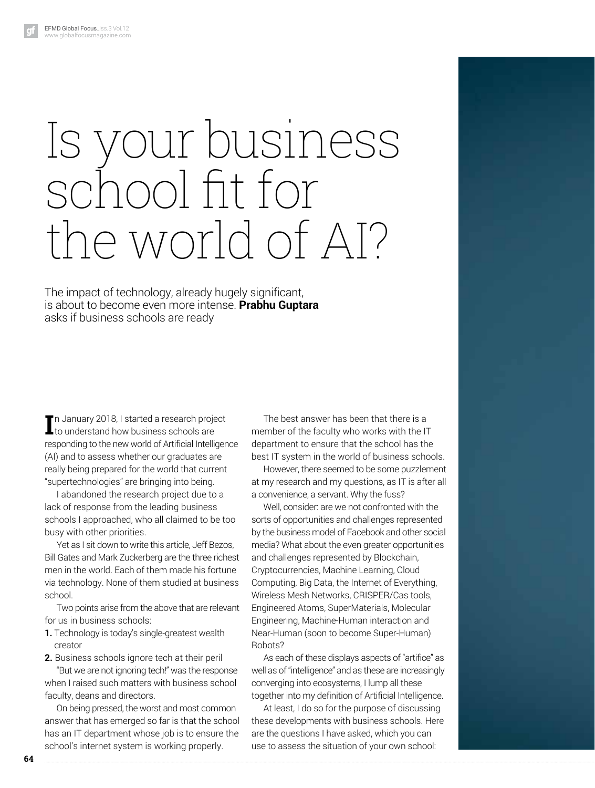# Is your business school ft for the world of AI?

The impact of technology, already hugely significant, is about to become even more intense. **Prabhu Guptara** asks if business schools are ready

In January 2018, I started a research project<br>Leto understand how business schools are to understand how business schools are responding to the new world of Artificial Intelligence (AI) and to assess whether our graduates are really being prepared for the world that current "supertechnologies" are bringing into being.

I abandoned the research project due to a lack of response from the leading business schools I approached, who all claimed to be too busy with other priorities.

Yet as I sit down to write this article, Jeff Bezos, Bill Gates and Mark Zuckerberg are the three richest men in the world. Each of them made his fortune via technology. None of them studied at business school.

Two points arise from the above that are relevant for us in business schools:

- **1.** Technology is today's single-greatest wealth creator
- **2.** Business schools ignore tech at their peril "But we are not ignoring tech!" was the response when I raised such matters with business school faculty, deans and directors.

On being pressed, the worst and most common answer that has emerged so far is that the school has an IT department whose job is to ensure the school's internet system is working properly.

The best answer has been that there is a member of the faculty who works with the IT department to ensure that the school has the best IT system in the world of business schools.

However, there seemed to be some puzzlement at my research and my questions, as IT is after all a convenience, a servant. Why the fuss?

Well, consider: are we not confronted with the sorts of opportunities and challenges represented by the business model of Facebook and other social media? What about the even greater opportunities and challenges represented by Blockchain, Cryptocurrencies, Machine Learning, Cloud Computing, Big Data, the Internet of Everything, Wireless Mesh Networks, CRISPER/Cas tools, Engineered Atoms, SuperMaterials, Molecular Engineering, Machine-Human interaction and Near-Human (soon to become Super-Human) Robots?

As each of these displays aspects of "artifice" as well as of "intelligence" and as these are increasingly converging into ecosystems, I lump all these together into my definition of Artificial Intelligence.

At least, I do so for the purpose of discussing these developments with business schools. Here are the questions I have asked, which you can use to assess the situation of your own school: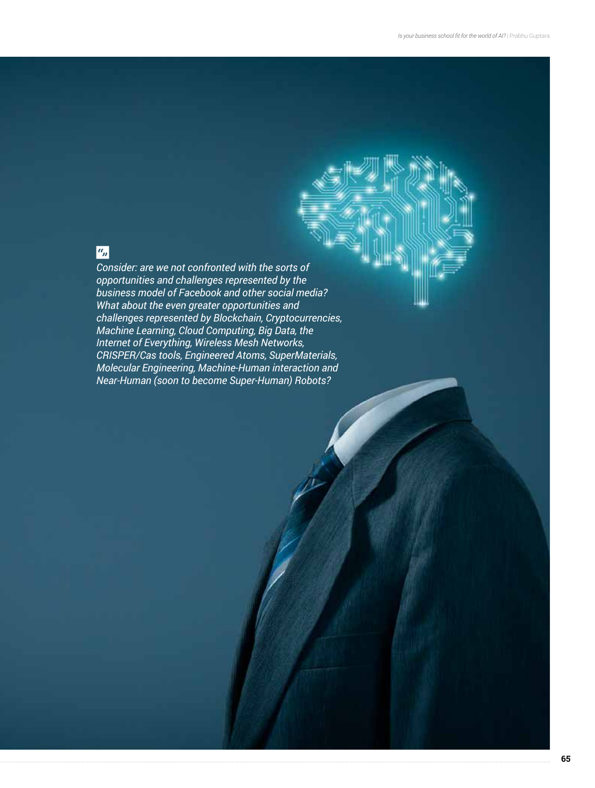## $\boxed{a_n}$

*Consider: are we not confronted with the sorts of opportunities and challenges represented by the business model of Facebook and other social media? What about the even greater opportunities and challenges represented by Blockchain, Cryptocurrencies, Machine Learning, Cloud Computing, Big Data, the Internet of Everything, Wireless Mesh Networks, CRISPER/Cas tools, Engineered Atoms, SuperMaterials, Molecular Engineering, Machine-Human interaction and Near-Human (soon to become Super-Human) Robots?*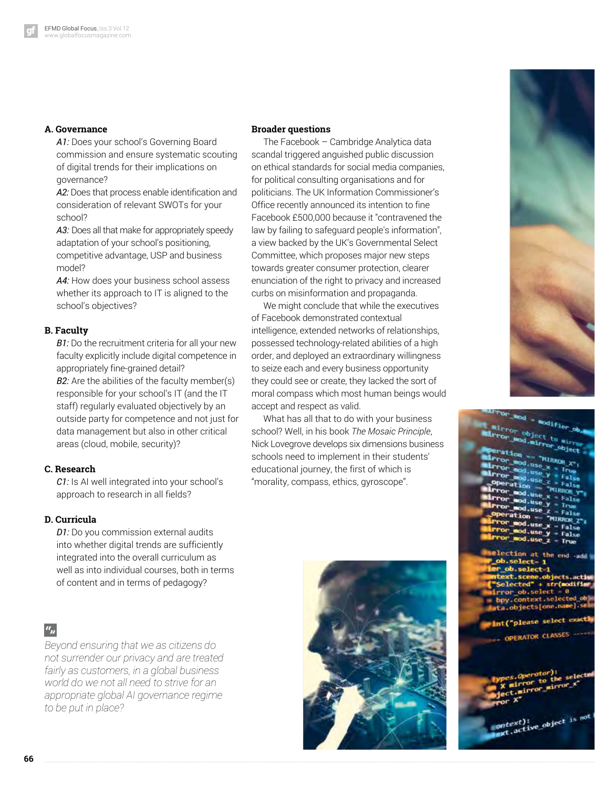#### **A. Governance**

A1: Does your school's Governing Board commission and ensure systematic scouting of digital trends for their implications on governance?

A2: Does that process enable identification and consideration of relevant SWOTs for your school?

*A3:* Does all that make for appropriately speedy adaptation of your school's positioning, competitive advantage, USP and business model?

A4: How does your business school assess whether its approach to IT is aligned to the school's objectives?

#### **B. Faculty**

*B1:* Do the recruitment criteria for all your new faculty explicitly include digital competence in appropriately fine-grained detail? *B2:* Are the abilities of the faculty member(s) responsible for your school's IT (and the IT staff) regularly evaluated objectively by an outside party for competence and not just for data management but also in other critical areas (cloud, mobile, security)?

#### **C. Research**

*C1:* Is AI well integrated into your school's approach to research in all fields?

#### **D. Curricula**

*D1:* Do you commission external audits into whether digital trends are sufficiently integrated into the overall curriculum as well as into individual courses, both in terms of content and in terms of pedagogy?

### $a_{jj}$

*Beyond ensuring that we as citizens do not surrender our privacy and are treated fairly as customers, in a global business world do we not all need to strive for an appropriate global AI governance regime to be put in place?*

#### **Broader questions**

The Facebook – Cambridge Analytica data scandal triggered anguished public discussion on ethical standards for social media companies, for political consulting organisations and for politicians. The UK Information Commissioner's Office recently announced its intention to fine Facebook £500,000 because it "contravened the law by failing to safeguard people's information", a view backed by the UK's Governmental Select Committee, which proposes major new steps towards greater consumer protection, clearer enunciation of the right to privacy and increased curbs on misinformation and propaganda.

We might conclude that while the executives of Facebook demonstrated contextual intelligence, extended networks of relationships, possessed technology-related abilities of a high order, and deployed an extraordinary willingness to seize each and every business opportunity they could see or create, they lacked the sort of moral compass which most human beings would accept and respect as valid.

What has all that to do with your business school? Well, in his book *The Mosaic Principle*, Nick Lovegrove develops six dimensions business schools need to implement in their students' educational journey, the first of which is "morality, compass, ethics, gyroscope".





| $\frac{1}{2}$ or and $\frac{1}{2}$ and $\frac{1}{2}$ fier ob.<br>mirror object to mirror |
|------------------------------------------------------------------------------------------|
|                                                                                          |
| Mirror and airvor object.<br>Peration - "HIRROR_X":                                      |
| Mirror and.use x - Irue                                                                  |
| Mirror mod.use y - False                                                                 |
| airror mod.use $z - false$                                                               |
| Operation - "MIRKOR Y"<br>$Irror$ and use $x - False$                                    |
| <b>ALITOR ROO.USE Y - True</b>                                                           |
| <b>Mirror mod.use z</b> - False<br>Operation - "MIRROR Z"                                |
|                                                                                          |
|                                                                                          |
| Fror mod.use x = False<br>Firror mod.use y = False<br>Firror mod.use z = True            |
| melection at the end -add                                                                |
| ob.select=1                                                                              |
| ler_ob.select-1<br>mtext.scene.objects.activ                                             |
| "Selected" + str(modifier                                                                |
| alrror_ob.select = 0<br>= bpy.context.selected.ob                                        |
| sta.objects[one.name].se                                                                 |
|                                                                                          |
| int("please select exactly                                                               |
| - OPERATOR CLASSES                                                                       |
|                                                                                          |
|                                                                                          |
| pes.Operator):                                                                           |
| X mirror to the selected                                                                 |
|                                                                                          |

ontext); object i